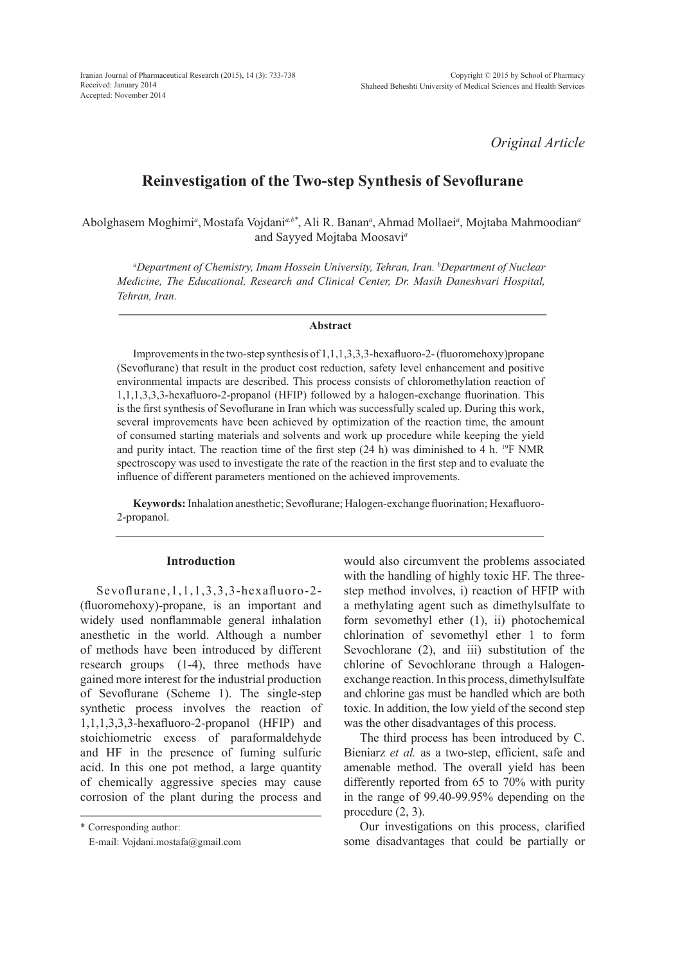Iranian Journal of Pharmaceutical Research (2015), 14 (3): 733-738 Received: January 2014 Accepted: November 2014

*Original Article*

# **Reinvestigation of the Two-step Synthesis of Sevoflurane**

Abolghasem Moghimi<sup>a</sup>, Mostafa Vojdani<sup>a,b\*</sup>, Ali R. Banan<sup>a</sup>, Ahmad Mollaei<sup>a</sup>, Mojtaba Mahmoodian<sup>a</sup> and Sayyed Mojtaba Moosavi*<sup>a</sup>*

*a Department of Chemistry, Imam Hossein University, Tehran, Iran. b Department of Nuclear Medicine, The Educational, Research and Clinical Center, Dr. Masih Daneshvari Hospital, Tehran, Iran.*

#### **Abstract**

Improvements in the two-step synthesis of 1,1,1,3,3,3-hexafluoro-2- (fluoromehoxy)propane (Sevoflurane) that result in the product cost reduction, safety level enhancement and positive environmental impacts are described. This process consists of chloromethylation reaction of 1,1,1,3,3,3-hexafluoro-2-propanol (HFIP) followed by a halogen-exchange fluorination. This is the first synthesis of Sevoflurane in Iran which was successfully scaled up. During this work, several improvements have been achieved by optimization of the reaction time, the amount of consumed starting materials and solvents and work up procedure while keeping the yield and purity intact. The reaction time of the first step (24 h) was diminished to 4 h. <sup>19</sup>F NMR spectroscopy was used to investigate the rate of the reaction in the first step and to evaluate the influence of different parameters mentioned on the achieved improvements.

**Keywords:** Inhalation anesthetic; Sevoflurane; Halogen-exchange fluorination; Hexafluoro-2-propanol.

#### **Introduction**

Sevoflurane,1,1,1,3,3,3-hexafluoro-2- (fluoromehoxy)-propane, is an important and widely used nonflammable general inhalation anesthetic in the world. Although a number of methods have been introduced by different research groups (1-4), three methods have gained more interest for the industrial production of Sevoflurane (Scheme 1). The single-step synthetic process involves the reaction of 1,1,1,3,3,3-hexafluoro-2-propanol (HFIP) and stoichiometric excess of paraformaldehyde and HF in the presence of fuming sulfuric acid. In this one pot method, a large quantity of chemically aggressive species may cause corrosion of the plant during the process and

\* Corresponding author:

E-mail: Vojdani.mostafa@gmail.com

would also circumvent the problems associated with the handling of highly toxic HF. The threestep method involves, i) reaction of HFIP with a methylating agent such as dimethylsulfate to form sevomethyl ether (1), ii) photochemical chlorination of sevomethyl ether 1 to form Sevochlorane (2), and iii) substitution of the chlorine of Sevochlorane through a Halogenexchange reaction. In this process, dimethylsulfate and chlorine gas must be handled which are both toxic. In addition, the low yield of the second step was the other disadvantages of this process.

The third process has been introduced by C. Bieniarz *et al.* as a two-step, efficient, safe and amenable method. The overall yield has been differently reported from 65 to 70% with purity in the range of 99.40-99.95% depending on the procedure (2, 3).

Our investigations on this process, clarified some disadvantages that could be partially or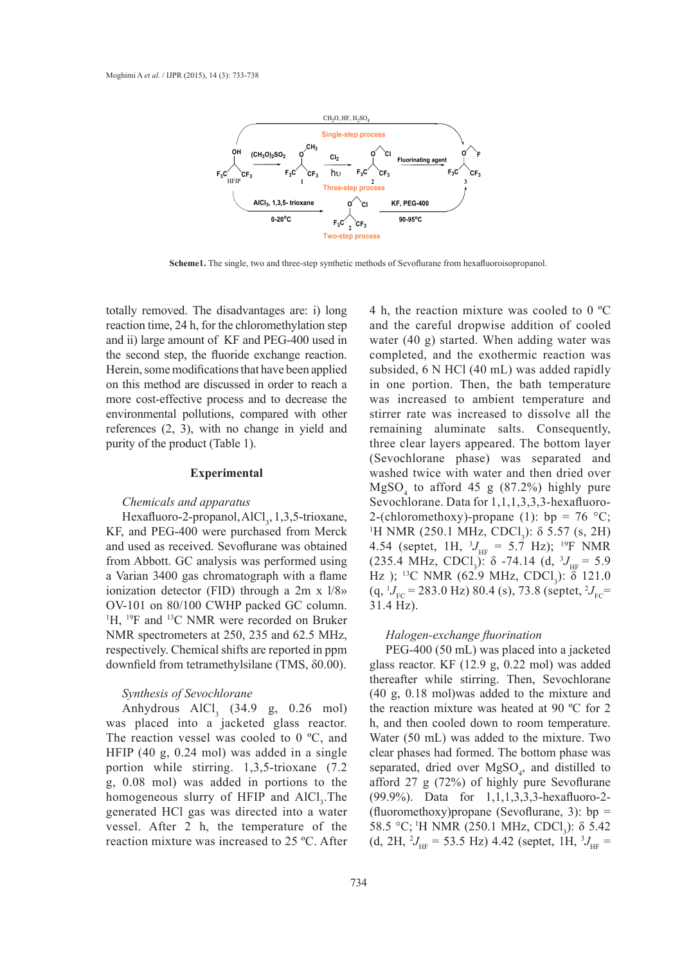

**Scheme1.** The single, two and three-step synthetic methods of Sevoflurane from hexafluoroisopropanol.

totally removed. The disadvantages are: i) long reaction time, 24 h, for the chloromethylation step and ii) large amount of KF and PEG-400 used in the second step, the fluoride exchange reaction. Herein, some modifications that have been applied on this method are discussed in order to reach a more cost-effective process and to decrease the environmental pollutions, compared with other references (2, 3), with no change in yield and purity of the product (Table 1).

#### **Experimental**

## *Chemicals and apparatus*

Hexafluoro-2-propanol, AlCl<sub>3</sub>, 1,3,5-trioxane, KF, and PEG-400 were purchased from Merck and used as received. Sevoflurane was obtained from Abbott. GC analysis was performed using a Varian 3400 gas chromatograph with a flame ionization detector (FID) through a 2m x l/8» OV-101 on 80/100 CWHP packed GC column. <sup>1</sup>H, <sup>19</sup>F and <sup>13</sup>C NMR were recorded on Bruker NMR spectrometers at 250, 235 and 62.5 MHz, *Halog* respectively. Chemical shifts are reported in ppm downfield from tetramethylsilane (TMS, δ0.00).

#### *Synthesis of Sevochlorane*

Anhydrous  $AlCl<sub>3</sub>$  (34.9 g, 0.26 mol) was placed into a jacketed glass reactor. The reaction vessel was cooled to 0 °C, and HFIP (40 g, 0.24 mol) was added in a single portion while stirring. 1,3,5-trioxane (7.2 g, 0.08 mol) was added in portions to the homogeneous slurry of HFIP and  $AICI<sub>3</sub>$ . The generated HCl gas was directed into a water vessel. After 2 h, the temperature of the reaction mixture was increased to 25 ºC. After

4 h, the reaction mixture was cooled to 0 ºC and the careful dropwise addition of cooled water (40 g) started. When adding water was fluoride exchange reaction. completed, and the exothermic reaction was subsided, 6 N HCl (40 mL) was added rapidly scussed in order to reach a in one portion. Then, the bath temperature was increased to ambient temperature and ons, compared with other stirrer rate was increased to dissolve all the remaining aluminate salts. Consequently, Table 1). The end of three clear layers appeared. The bottom layer appeared be particle be particle be particle be particle be particle be particle be particle be particle be particle be particle be particle be particle be (Sevochlorane phase) was separated and experimental washed twice with water and then dried over<br> $\frac{1}{2}$  h, for the challenge and the challenge and the challenge and the challenge and the challenge and the challenge and the challenge and the challenge and the  $MgSO<sub>4</sub>$  to afford 45 g (87.2%) highly pure  $S$ evochlorane. Data for  $1, 1, 1, 3, 3, 3$ -hexafluoro-<br>ii) large amount of KF and PEG-400 used reaction. 2-(chloromethoxy)-propane (1): bp = 76  $°C$ ; <sup>1</sup>H NMR (250.1 MHz, CDCl<sub>3</sub>):  $\delta$  5.57 (s, 2H) Sevoflurane was obtained  $4.54$  (septet, 1H,  ${}^{3}J_{\text{HF}} = 5.7$  Hz); <sup>19</sup>F NMR  $(235.4 \text{ MHz}, \text{CDCl}_3): \delta -74.14 \text{ (d, } 3J_{\text{HF}} = 5.9$ romatograph with a flame  $\frac{(233.4 \text{ MHz}, \text{CDC1}_3): 0.941.14 (a, 9)_{\text{HF}}}{13}$  or  $\frac{9}{11}$  compared with a flame  $\frac{1}{2}$  is  $\frac{1}{2}$  NMR (62.9 MHz, CDCl<sub>3</sub>):  $\delta$  121.0  $\begin{array}{lll}\n\text{FID)} \text{ through a } 2\text{m} \times 1/8\n\end{array}$  (q,  ${}^{1}J_{\text{FC}} = 283.0 \text{ Hz}$ ) 80.4 (s), 73.8 (septet,  ${}^{2}J_{\text{FC}} = 0.000000$  and  $\begin{array}{lll}\n\text{WHP} \text{ packed GC column} \\
\end{array}$ 31.4 Hz).

#### *Halogen-exchange fluorination*

PEG-400 (50 mL) was placed into a jacketed glass reactor. KF (12.9 g, 0.22 mol) was added thereafter while stirring. Then, Sevochlorane (40 g, 0.18 mol)was added to the mixture and the reaction mixture was heated at 90 ºC for 2 h, and then cooled down to room temperature. Water (50 mL) was added to the mixture. Two clear phases had formed. The bottom phase was separated, dried over  $MgSO<sub>4</sub>$ , and distilled to afford 27 g (72%) of highly pure Sevoflurane (99.9%). Data for 1,1,1,3,3,3-hexafluoro-2- (fluoromethoxy) propane (Sevoflurane, 3):  $bp =$ 58.5 °C; <sup>1</sup>H NMR (250.1 MHz, CDCl<sub>3</sub>): δ 5.42  $(d, 2H, {}^{2}J_{\text{HF}} = 53.5 \text{ Hz})$  4.42 (septet, 1H,  ${}^{3}J_{\text{HF}} =$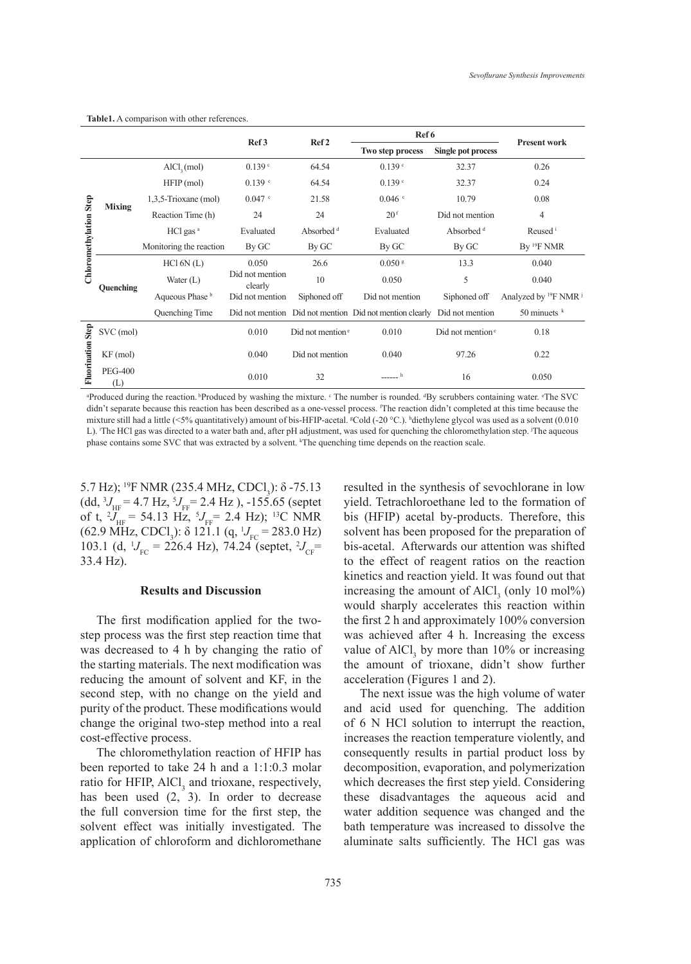|                          |                       |                         |                            | Ref <sub>2</sub>          | Ref 6                                                   |                                           |                                     |
|--------------------------|-----------------------|-------------------------|----------------------------|---------------------------|---------------------------------------------------------|-------------------------------------------|-------------------------------------|
|                          |                       |                         | Ref <sub>3</sub>           |                           | Two step process                                        | <b>Single pot process</b>                 | <b>Present work</b>                 |
| Chloromethylation Step   | <b>Mixing</b>         | AICI <sub>2</sub> (mol) | 0.139C                     | 64.54                     | 0.139c                                                  | 32.37                                     | 0.26                                |
|                          |                       | $HFP$ (mol)             | $0.139$ $\degree$          | 64.54                     | 0.139 <sup>c</sup>                                      | 32.37                                     | 0.24                                |
|                          |                       | $1,3,5$ -Trioxane (mol) | $0.047$ c                  | 21.58                     | $0.046$ c                                               | 10.79                                     | 0.08                                |
|                          |                       | Reaction Time (h)       | 24                         | 24                        | 20 <sup>f</sup>                                         | Did not mention                           | $\overline{4}$                      |
|                          |                       | HCl gas <sup>a</sup>    | Evaluated                  | Absorbed <sup>d</sup>     | Evaluated                                               | Absorbed <sup>d</sup>                     | Reused <sup>i</sup>                 |
|                          |                       | Monitoring the reaction | By GC                      | By GC                     | By GC                                                   | By GC                                     | By <sup>19</sup> F NMR              |
|                          | Quenching             | HC16N(L)                | 0.050                      | 26.6                      | $0.050$ s                                               | 13.3                                      | 0.040                               |
|                          |                       | Water $(L)$             | Did not mention<br>clearly | 10                        | 0.050                                                   | 5                                         | 0.040                               |
|                          |                       | Aqueous Phase b         | Did not mention            | Siphoned off              | Did not mention                                         | Siphoned off                              | Analyzed by ${}^{19}F$ NMR ${}^{j}$ |
|                          |                       | Quenching Time          |                            |                           | Did not mention Did not mention Did not mention clearly | Did not mention                           | 50 minuets $k$                      |
| <b>Fluorination Step</b> | SVC (mol)             |                         | 0.010                      | Did not mention $\degree$ | 0.010                                                   | Did not mention <sup><math>e</math></sup> | 0.18                                |
|                          | $KF$ (mol)            |                         | 0.040                      | Did not mention           | 0.040                                                   | 97.26                                     | 0.22                                |
|                          | <b>PEG-400</b><br>(L) |                         | 0.010                      | 32                        | h                                                       | 16                                        | 0.050                               |

**Table1.** A comparison with other references.

<sup>a</sup>Produced during the reaction. <sup>b</sup>Produced by washing the mixture. <sup>c</sup> The number is rounded. <sup>4</sup>By scrubbers containing water. <sup>e</sup>The SVC didn't separate because this reaction has been described as a one-vessel process. <sup>f</sup> The reaction didn't completed at this time because the mixture still had a little (<5% quantitatively) amount of bis-HFIP-acetal. <sup>g</sup>Cold (-20 °C.). hdiethylene glycol was used as a solvent (0.010 L). The HCl gas was directed to a water bath and, after pH adjustment, was used for quenching the chloromethylation step. The aqueous phase contains some SVC that was extracted by a solvent. <sup>k</sup>The quenching time depends on the reaction scale.

5.7 Hz); <sup>19</sup>F NMR (235.4 MHz, CDCl<sub>3</sub>): δ -75.13  $(dd, {}^{3}J_{\text{HF}} = 4.7 \text{ Hz}, {}^{5}J_{\text{FF}} = 2.4 \text{ Hz}$ ), -155.65 (septet of t,  ${}^{2}J_{\text{HF}}$  = 54.13 Hz,  ${}^{5}J_{\text{FF}}$  = 2.4 Hz); <sup>13</sup>C NMR  $(62.9 \text{ MHz}, \text{CDCl}_3)$ :  $\delta$  121.1 (q,  $^1J_{\text{FC}} = 283.0 \text{ Hz}$ ) 103.1 (d,  $^1J_{\text{FC}} = 226.4 \text{ Hz}$ ), 74.24 (septet,  $^2J_{\text{CF}} =$ 33.4 Hz).

## **Results and Discussion**

The first modification applied for the twostep process was the first step reaction time that was decreased to 4 h by changing the ratio of the starting materials. The next modification was reducing the amount of solvent and KF, in the second step, with no change on the yield and purity of the product. These modifications would change the original two-step method into a real cost-effective process.

The chloromethylation reaction of HFIP has been reported to take 24 h and a 1:1:0.3 molar ratio for HFIP, AlCl<sub>3</sub> and trioxane, respectively, has been used  $(2, 3)$ . In order to decrease the full conversion time for the first step, the solvent effect was initially investigated. The application of chloroform and dichloromethane

resulted in the synthesis of sevochlorane in low yield. Tetrachloroethane led to the formation of bis (HFIP) acetal by-products. Therefore, this solvent has been proposed for the preparation of bis-acetal. Afterwards our attention was shifted to the effect of reagent ratios on the reaction kinetics and reaction yield. It was found out that increasing the amount of  $AICl_3$  (only 10 mol%) would sharply accelerates this reaction within the first 2 h and approximately 100% conversion was achieved after 4 h. Increasing the excess value of  $AICI_3$  by more than 10% or increasing the amount of trioxane, didn't show further acceleration (Figures 1 and 2).

The next issue was the high volume of water and acid used for quenching. The addition of 6 N HCl solution to interrupt the reaction, increases the reaction temperature violently, and consequently results in partial product loss by decomposition, evaporation, and polymerization which decreases the first step yield. Considering these disadvantages the aqueous acid and water addition sequence was changed and the bath temperature was increased to dissolve the aluminate salts sufficiently. The HCl gas was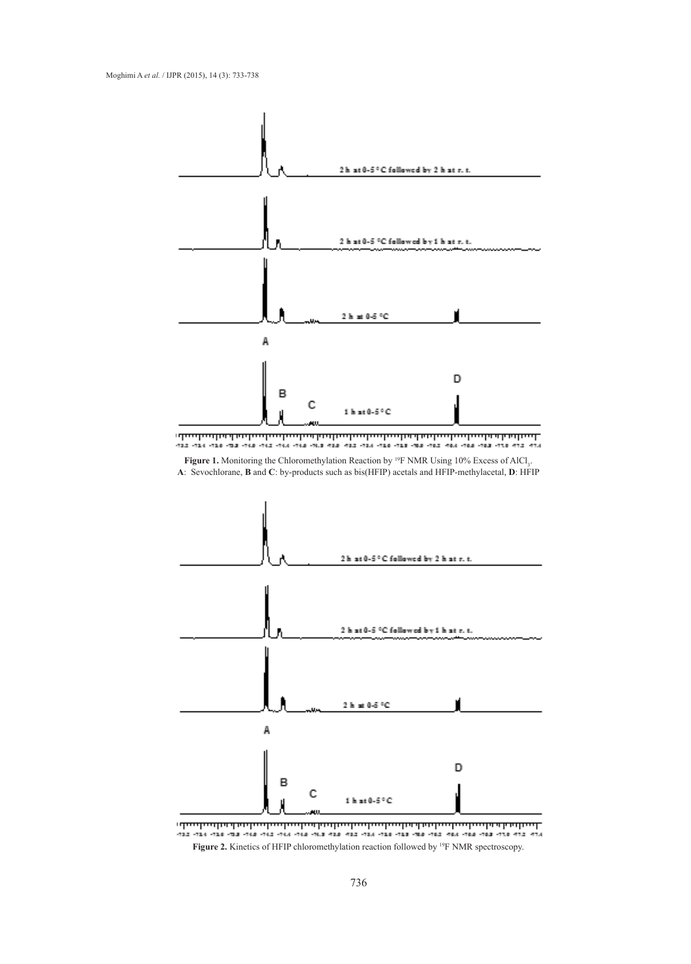

<u>ւնավառնականավառնակավարկակավառնականականականական հայնակ.</u> 

**Figure 1.** Monitoring the Chloromethylation Reaction by <sup>19</sup>F NMR Using 10% Excess of AlCl<sub>3</sub>. **A**: Sevochlorane, **B** and **C**: by-products such as bis(HFIP) acetals and HFIP-methylacetal, **D**: HFIP



**Figure 2.** Kinetics of HFIP chloromethylation reaction followed by 19F NMR spectroscopy.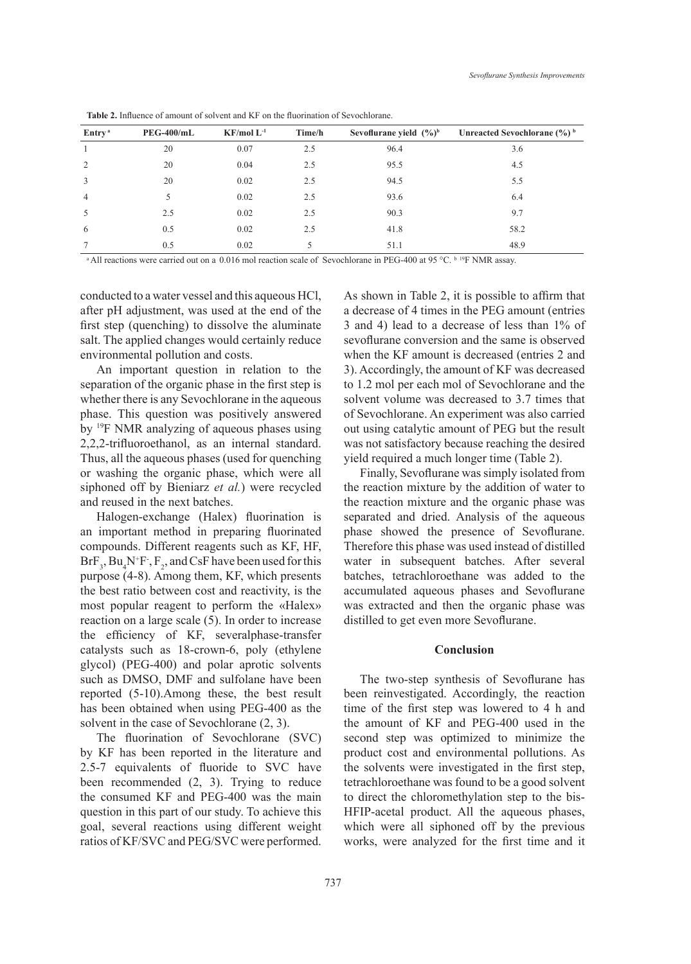| Entry <sup>a</sup> | $PEG-400/mL$ | $KF/mol L^{-1}$ | Time/h | Sevoflurane yield $(\frac{9}{6})^b$ | Unreacted Sevochlorane $(\frac{6}{6})^b$ |
|--------------------|--------------|-----------------|--------|-------------------------------------|------------------------------------------|
|                    | 20           | 0.07            | 2.5    | 96.4                                | 3.6                                      |
| 2                  | 20           | 0.04            | 2.5    | 95.5                                | 4.5                                      |
| 3                  | 20           | 0.02            | 2.5    | 94.5                                | 5.5                                      |
| $\overline{4}$     | 5            | 0.02            | 2.5    | 93.6                                | 6.4                                      |
| 5                  | 2.5          | 0.02            | 2.5    | 90.3                                | 9.7                                      |
| 6                  | 0.5          | 0.02            | 2.5    | 41.8                                | 58.2                                     |
| $\tau$             | 0.5          | 0.02            | 5      | 51.1                                | 48.9                                     |

**Table 2.** Influence of amount of solvent and KF on the fluorination of Sevochlorane.

<sup>a</sup> All reactions were carried out on a 0.016 mol reaction scale of Sevochlorane in PEG-400 at 95 °C. b <sup>19</sup>F NMR assay.

conducted to a water vessel and this aqueous HCl, after pH adjustment, was used at the end of the first step (quenching) to dissolve the aluminate salt. The applied changes would certainly reduce environmental pollution and costs.

An important question in relation to the separation of the organic phase in the first step is whether there is any Sevochlorane in the aqueous phase. This question was positively answered by 19F NMR analyzing of aqueous phases using 2,2,2-trifluoroethanol, as an internal standard. Thus, all the aqueous phases (used for quenching or washing the organic phase, which were all siphoned off by Bieniarz *et al.*) were recycled and reused in the next batches.

Halogen-exchange (Halex) fluorination is an important method in preparing fluorinated compounds. Different reagents such as KF, HF,  $BF_3$ ,  $Bu_4N^{\dagger}F$ ,  $F_2$ , and CsF have been used for this purpose (4-8). Among them, KF, which presents the best ratio between cost and reactivity, is the most popular reagent to perform the «Halex» reaction on a large scale (5). In order to increase the efficiency of KF, severalphase-transfer catalysts such as 18-crown-6, poly (ethylene glycol) (PEG-400) and polar aprotic solvents such as DMSO, DMF and sulfolane have been reported (5-10).Among these, the best result has been obtained when using PEG-400 as the solvent in the case of Sevochlorane (2, 3).

The fluorination of Sevochlorane (SVC) by KF has been reported in the literature and 2.5-7 equivalents of fluoride to SVC have been recommended (2, 3). Trying to reduce the consumed KF and PEG-400 was the main question in this part of our study. To achieve this goal, several reactions using different weight ratios of KF/SVC and PEG/SVC were performed. As shown in Table 2, it is possible to affirm that a decrease of 4 times in the PEG amount (entries 3 and 4) lead to a decrease of less than 1% of sevoflurane conversion and the same is observed when the KF amount is decreased (entries 2 and 3). Accordingly, the amount of KF was decreased to 1.2 mol per each mol of Sevochlorane and the solvent volume was decreased to 3.7 times that of Sevochlorane. An experiment was also carried out using catalytic amount of PEG but the result was not satisfactory because reaching the desired yield required a much longer time (Table 2).

Finally, Sevoflurane was simply isolated from the reaction mixture by the addition of water to the reaction mixture and the organic phase was separated and dried. Analysis of the aqueous phase showed the presence of Sevoflurane. Therefore this phase was used instead of distilled water in subsequent batches. After several batches, tetrachloroethane was added to the accumulated aqueous phases and Sevoflurane was extracted and then the organic phase was distilled to get even more Sevoflurane.

# **Conclusion**

The two-step synthesis of Sevoflurane has been reinvestigated. Accordingly, the reaction time of the first step was lowered to 4 h and the amount of KF and PEG-400 used in the second step was optimized to minimize the product cost and environmental pollutions. As the solvents were investigated in the first step, tetrachloroethane was found to be a good solvent to direct the chloromethylation step to the bis-HFIP-acetal product. All the aqueous phases, which were all siphoned off by the previous works, were analyzed for the first time and it